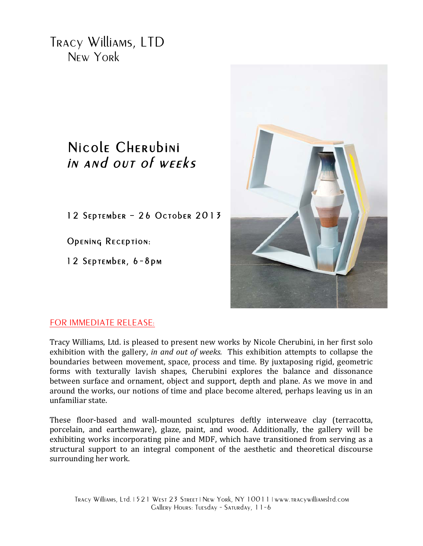Tracy Williams, LTD New York

## Nicole Cherubini in and out of weeks

12 September – 26 October 2013

Opening Reception:

12 September, 6-8pm



## FOR IMMEDIATE RELEASE:

Tracy Williams, Ltd. is pleased to present new works by Nicole Cherubini, in her first solo exhibition with the gallery, *in and out of weeks*. This exhibition attempts to collapse the boundaries between movement, space, process and time. By juxtaposing rigid, geometric forms with texturally lavish shapes, Cherubini explores the balance and dissonance between surface and ornament, object and support, depth and plane. As we move in and around the works, our notions of time and place become altered, perhaps leaving us in an unfamiliar state. 

These floor-based and wall-mounted sculptures deftly interweave clay (terracotta, porcelain, and earthenware), glaze, paint, and wood. Additionally, the gallery will be exhibiting works incorporating pine and MDF, which have transitioned from serving as a structural support to an integral component of the aesthetic and theoretical discourse surrounding her work.